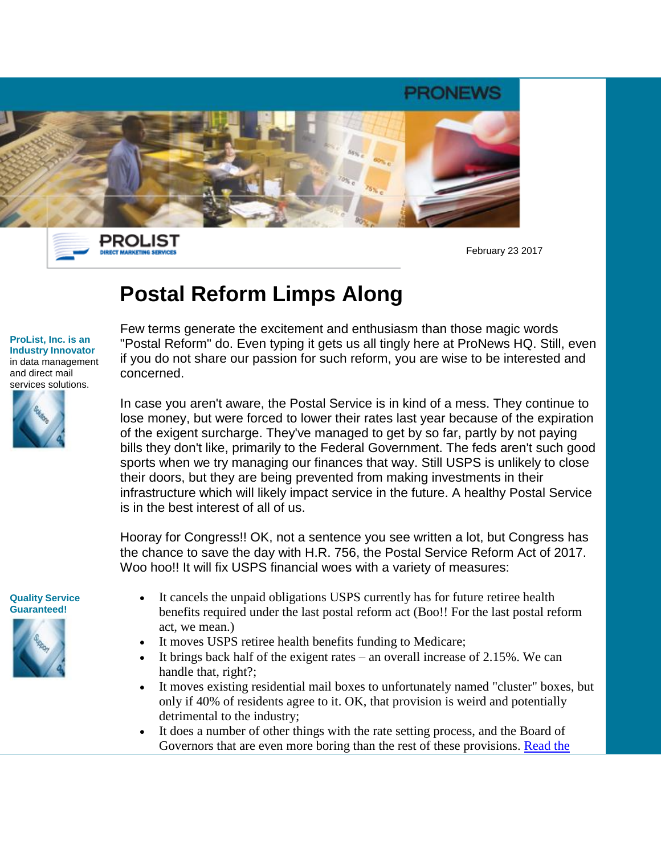



February 23 2017

# **Postal Reform Limps Along**

#### **ProList, Inc. is an Industry Innovator** in data management and direct mail services solutions.



Few terms generate the excitement and enthusiasm than those magic words "Postal Reform" do. Even typing it gets us all tingly here at ProNews HQ. Still, even if you do not share our passion for such reform, you are wise to be interested and concerned.

In case you aren't aware, the Postal Service is in kind of a mess. They continue to lose money, but were forced to lower their rates last year because of the expiration of the exigent surcharge. They've managed to get by so far, partly by not paying bills they don't like, primarily to the Federal Government. The feds aren't such good sports when we try managing our finances that way. Still USPS is unlikely to close their doors, but they are being prevented from making investments in their infrastructure which will likely impact service in the future. A healthy Postal Service is in the best interest of all of us.

Hooray for Congress!! OK, not a sentence you see written a lot, but Congress has the chance to save the day with H.R. 756, the Postal Service Reform Act of 2017. Woo hoo!! It will fix USPS financial woes with a variety of measures:

#### **Quality Service Guaranteed!**



- It cancels the unpaid obligations USPS currently has for future retiree health benefits required under the last postal reform act (Boo!! For the last postal reform act, we mean.)
- It moves USPS retiree health benefits funding to Medicare;
- It brings back half of the exigent rates an overall increase of 2.15%. We can handle that, right?;
- It moves existing residential mail boxes to unfortunately named "cluster" boxes, but only if 40% of residents agree to it. OK, that provision is weird and potentially detrimental to the industry;
- It does a number of other things with the rate setting process, and the Board of Governors that are even more boring than the rest of these provisions. [Read the](https://click.publicaster.com/ClickThru.aspx?pubids=8251%7c9333%7c18507%7c0549&digest=c5sby0KvQV2HrqZBkXT89Q&sysid=1)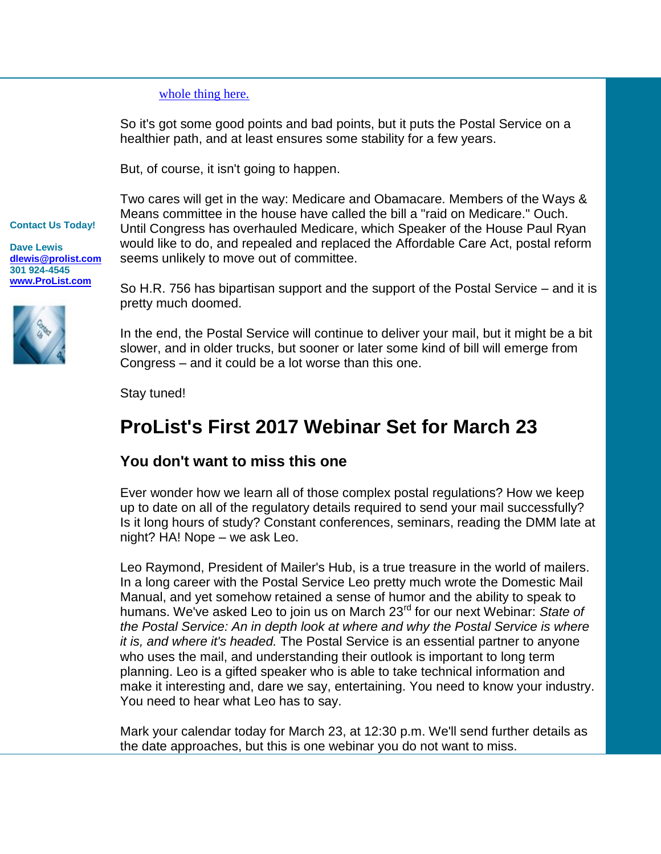### [whole thing here.](https://click.publicaster.com/ClickThru.aspx?pubids=8251%7c9333%7c18507%7c0549&digest=c5sby0KvQV2HrqZBkXT89Q&sysid=1)

So it's got some good points and bad points, but it puts the Postal Service on a healthier path, and at least ensures some stability for a few years.

But, of course, it isn't going to happen.

Two cares will get in the way: Medicare and Obamacare. Members of the Ways & Means committee in the house have called the bill a "raid on Medicare." Ouch. Until Congress has overhauled Medicare, which Speaker of the House Paul Ryan would like to do, and repealed and replaced the Affordable Care Act, postal reform seems unlikely to move out of committee.

**Dave Lewis [dlewis@prolist.com](mailto:dlewis@prolist.com) 301 924-4545 [www.ProList.com](https://click.publicaster.com/ClickThru.aspx?pubids=8251%7c9331%7c18507%7c0549&digest=ksuqls8hhxNBzuHG47wxQg&sysid=1)**

**Contact Us Today!** 



So H.R. 756 has bipartisan support and the support of the Postal Service – and it is pretty much doomed.

In the end, the Postal Service will continue to deliver your mail, but it might be a bit slower, and in older trucks, but sooner or later some kind of bill will emerge from Congress – and it could be a lot worse than this one.

Stay tuned!

## **ProList's First 2017 Webinar Set for March 23**

## **You don't want to miss this one**

Ever wonder how we learn all of those complex postal regulations? How we keep up to date on all of the regulatory details required to send your mail successfully? Is it long hours of study? Constant conferences, seminars, reading the DMM late at night? HA! Nope – we ask Leo.

Leo Raymond, President of Mailer's Hub, is a true treasure in the world of mailers. In a long career with the Postal Service Leo pretty much wrote the Domestic Mail Manual, and yet somehow retained a sense of humor and the ability to speak to humans. We've asked Leo to join us on March 23rd for our next Webinar: *State of the Postal Service: An in depth look at where and why the Postal Service is where it is, and where it's headed.* The Postal Service is an essential partner to anyone who uses the mail, and understanding their outlook is important to long term planning. Leo is a gifted speaker who is able to take technical information and make it interesting and, dare we say, entertaining. You need to know your industry. You need to hear what Leo has to say.

Mark your calendar today for March 23, at 12:30 p.m. We'll send further details as the date approaches, but this is one webinar you do not want to miss.